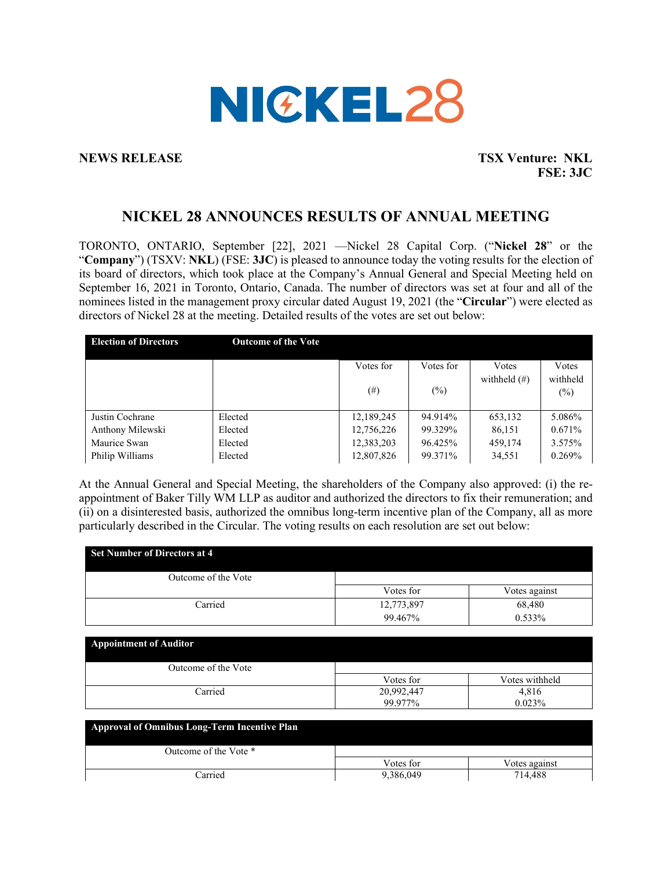

**NEWS RELEASE TSX Venture: NKL FSE: 3JC**

# **NICKEL 28 ANNOUNCES RESULTS OF ANNUAL MEETING**

TORONTO, ONTARIO, September [22], 2021 —Nickel 28 Capital Corp. ("**Nickel 28**" or the "**Company**") (TSXV: **NKL**) (FSE: **3JC**) is pleased to announce today the voting results for the election of its board of directors, which took place at the Company's Annual General and Special Meeting held on September 16, 2021 in Toronto, Ontario, Canada. The number of directors was set at four and all of the nominees listed in the management proxy circular dated August 19, 2021 (the "**Circular**") were elected as directors of Nickel 28 at the meeting. Detailed results of the votes are set out below:

| <b>Election of Directors</b> | <b>Outcome of the Vote</b> |            |           |                 |          |
|------------------------------|----------------------------|------------|-----------|-----------------|----------|
|                              |                            | Votes for  | Votes for | Votes           | Votes    |
|                              |                            |            |           | withheld $(\#)$ | withheld |
|                              |                            | $^{(\#)}$  | $(\%)$    |                 | (%)      |
|                              |                            |            |           |                 |          |
| Justin Cochrane              | Elected                    | 12,189,245 | 94.914%   | 653,132         | 5.086%   |
| Anthony Milewski             | Elected                    | 12,756,226 | 99.329%   | 86,151          | 0.671%   |
| Maurice Swan                 | Elected                    | 12,383,203 | 96.425%   | 459,174         | 3.575%   |
| Philip Williams              | Elected                    | 12,807,826 | 99.371%   | 34,551          | 0.269%   |

At the Annual General and Special Meeting, the shareholders of the Company also approved: (i) the reappointment of Baker Tilly WM LLP as auditor and authorized the directors to fix their remuneration; and (ii) on a disinterested basis, authorized the omnibus long-term incentive plan of the Company, all as more particularly described in the Circular. The voting results on each resolution are set out below:

| <b>Set Number of Directors at 4</b> |            |                |
|-------------------------------------|------------|----------------|
| Outcome of the Vote                 |            |                |
|                                     | Votes for  | Votes against  |
| Carried                             | 12,773,897 | 68,480         |
|                                     | 99.467%    | 0.533%         |
| <b>Appointment of Auditor</b>       |            |                |
| Outcome of the Vote                 |            |                |
|                                     | Votes for  | Votes withheld |
| Carried                             | 20,992,447 | 4,816          |
|                                     | 99.977%    | 0.023%         |

| <b>Approval of Omnibus Long-Term Incentive Plan</b> |           |               |  |  |
|-----------------------------------------------------|-----------|---------------|--|--|
| Outcome of the Vote *                               |           |               |  |  |
|                                                     | Votes for | Votes against |  |  |
| Carried                                             | 9,386,049 | 714.488       |  |  |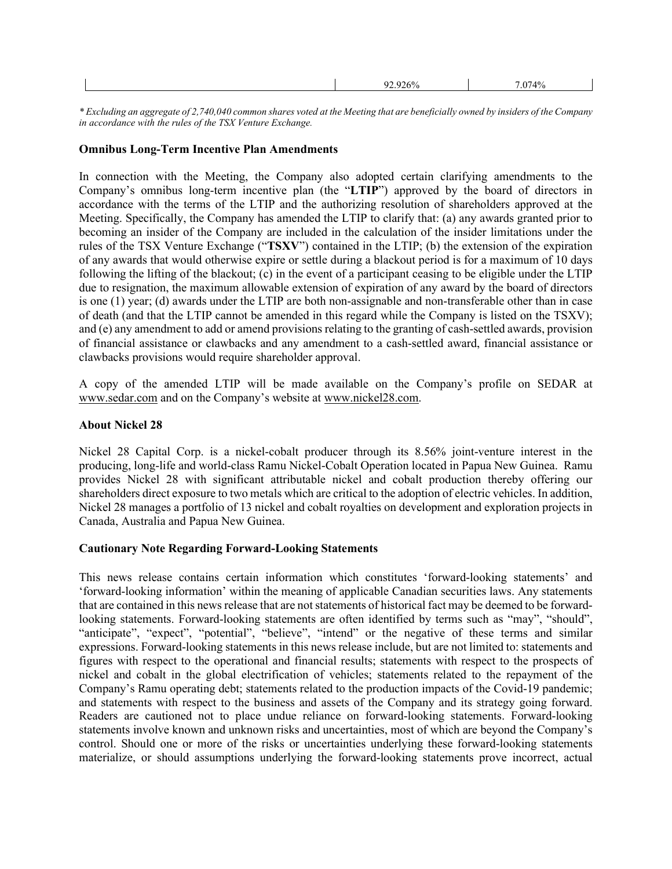| . .<br>,,, | 2740/ |  |
|------------|-------|--|
|            |       |  |

*\* Excluding an aggregate of 2,740,040 common shares voted at the Meeting that are beneficially owned by insiders of the Company in accordance with the rules of the TSX Venture Exchange.*

### **Omnibus Long-Term Incentive Plan Amendments**

In connection with the Meeting, the Company also adopted certain clarifying amendments to the Company's omnibus long-term incentive plan (the "**LTIP**") approved by the board of directors in accordance with the terms of the LTIP and the authorizing resolution of shareholders approved at the Meeting. Specifically, the Company has amended the LTIP to clarify that: (a) any awards granted prior to becoming an insider of the Company are included in the calculation of the insider limitations under the rules of the TSX Venture Exchange ("**TSXV**") contained in the LTIP; (b) the extension of the expiration of any awards that would otherwise expire or settle during a blackout period is for a maximum of 10 days following the lifting of the blackout; (c) in the event of a participant ceasing to be eligible under the LTIP due to resignation, the maximum allowable extension of expiration of any award by the board of directors is one (1) year; (d) awards under the LTIP are both non-assignable and non-transferable other than in case of death (and that the LTIP cannot be amended in this regard while the Company is listed on the TSXV); and (e) any amendment to add or amend provisions relating to the granting of cash-settled awards, provision of financial assistance or clawbacks and any amendment to a cash-settled award, financial assistance or clawbacks provisions would require shareholder approval.

A copy of the amended LTIP will be made available on the Company's profile on SEDAR at www.sedar.com and on the Company's website at www.nickel28.com.

## **About Nickel 28**

Nickel 28 Capital Corp. is a nickel-cobalt producer through its 8.56% joint-venture interest in the producing, long-life and world-class Ramu Nickel-Cobalt Operation located in Papua New Guinea. Ramu provides Nickel 28 with significant attributable nickel and cobalt production thereby offering our shareholders direct exposure to two metals which are critical to the adoption of electric vehicles. In addition, Nickel 28 manages a portfolio of 13 nickel and cobalt royalties on development and exploration projects in Canada, Australia and Papua New Guinea.

# **Cautionary Note Regarding Forward-Looking Statements**

This news release contains certain information which constitutes 'forward-looking statements' and 'forward-looking information' within the meaning of applicable Canadian securities laws. Any statements that are contained in this news release that are not statements of historical fact may be deemed to be forwardlooking statements. Forward-looking statements are often identified by terms such as "may", "should", "anticipate", "expect", "potential", "believe", "intend" or the negative of these terms and similar expressions. Forward-looking statements in this news release include, but are not limited to: statements and figures with respect to the operational and financial results; statements with respect to the prospects of nickel and cobalt in the global electrification of vehicles; statements related to the repayment of the Company's Ramu operating debt; statements related to the production impacts of the Covid-19 pandemic; and statements with respect to the business and assets of the Company and its strategy going forward. Readers are cautioned not to place undue reliance on forward-looking statements. Forward-looking statements involve known and unknown risks and uncertainties, most of which are beyond the Company's control. Should one or more of the risks or uncertainties underlying these forward-looking statements materialize, or should assumptions underlying the forward-looking statements prove incorrect, actual